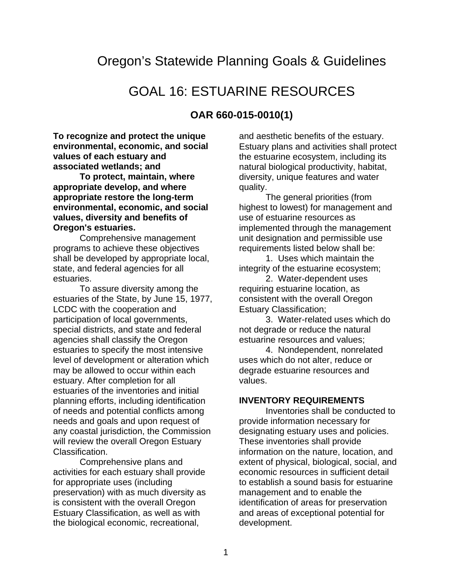# Oregon's Statewide Planning Goals & Guidelines

# GOAL 16: ESTUARINE RESOURCES

# **OAR 660-015-0010(1)**

**To recognize and protect the unique environmental, economic, and social values of each estuary and associated wetlands; and**

**To protect, maintain, where appropriate develop, and where appropriate restore the long-term environmental, economic, and social values, diversity and benefits of Oregon's estuaries.**

Comprehensive management programs to achieve these objectives shall be developed by appropriate local, state, and federal agencies for all estuaries.

To assure diversity among the estuaries of the State, by June 15, 1977, LCDC with the cooperation and participation of local governments, special districts, and state and federal agencies shall classify the Oregon estuaries to specify the most intensive level of development or alteration which may be allowed to occur within each estuary. After completion for all estuaries of the inventories and initial planning efforts, including identification of needs and potential conflicts among needs and goals and upon request of any coastal jurisdiction, the Commission will review the overall Oregon Estuary Classification.

Comprehensive plans and activities for each estuary shall provide for appropriate uses (including preservation) with as much diversity as is consistent with the overall Oregon Estuary Classification, as well as with the biological economic, recreational,

and aesthetic benefits of the estuary. Estuary plans and activities shall protect the estuarine ecosystem, including its natural biological productivity, habitat, diversity, unique features and water quality.

The general priorities (from highest to lowest) for management and use of estuarine resources as implemented through the management unit designation and permissible use requirements listed below shall be:

1. Uses which maintain the integrity of the estuarine ecosystem;

2. Water-dependent uses requiring estuarine location, as consistent with the overall Oregon Estuary Classification;

3. Water-related uses which do not degrade or reduce the natural estuarine resources and values;

4. Nondependent, nonrelated uses which do not alter, reduce or degrade estuarine resources and values.

#### **INVENTORY REQUIREMENTS**

Inventories shall be conducted to provide information necessary for designating estuary uses and policies. These inventories shall provide information on the nature, location, and extent of physical, biological, social, and economic resources in sufficient detail to establish a sound basis for estuarine management and to enable the identification of areas for preservation and areas of exceptional potential for development.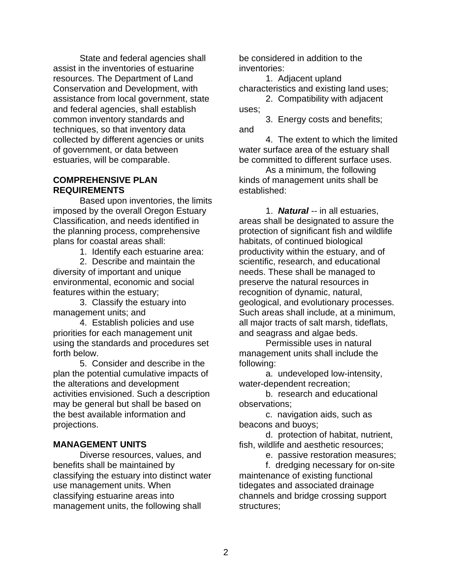State and federal agencies shall assist in the inventories of estuarine resources. The Department of Land Conservation and Development, with assistance from local government, state and federal agencies, shall establish common inventory standards and techniques, so that inventory data collected by different agencies or units of government, or data between estuaries, will be comparable.

### **COMPREHENSIVE PLAN REQUIREMENTS**

Based upon inventories, the limits imposed by the overall Oregon Estuary Classification, and needs identified in the planning process, comprehensive plans for coastal areas shall:

1. Identify each estuarine area:

2. Describe and maintain the diversity of important and unique environmental, economic and social features within the estuary;

3. Classify the estuary into management units; and

4. Establish policies and use priorities for each management unit using the standards and procedures set forth below.

5. Consider and describe in the plan the potential cumulative impacts of the alterations and development activities envisioned. Such a description may be general but shall be based on the best available information and projections.

## **MANAGEMENT UNITS**

Diverse resources, values, and benefits shall be maintained by classifying the estuary into distinct water use management units. When classifying estuarine areas into management units, the following shall

be considered in addition to the inventories:

1. Adjacent upland characteristics and existing land uses;

2. Compatibility with adjacent uses;

3. Energy costs and benefits; and

4. The extent to which the limited water surface area of the estuary shall be committed to different surface uses.

As a minimum, the following kinds of management units shall be established:

1. *Natural* -- in all estuaries, areas shall be designated to assure the protection of significant fish and wildlife habitats, of continued biological productivity within the estuary, and of scientific, research, and educational needs. These shall be managed to preserve the natural resources in recognition of dynamic, natural, geological, and evolutionary processes. Such areas shall include, at a minimum, all major tracts of salt marsh, tideflats, and seagrass and algae beds.

Permissible uses in natural management units shall include the following:

a. undeveloped low-intensity, water-dependent recreation;

b. research and educational observations;

c. navigation aids, such as beacons and buoys;

d. protection of habitat, nutrient, fish, wildlife and aesthetic resources;

e. passive restoration measures;

f. dredging necessary for on-site maintenance of existing functional tidegates and associated drainage channels and bridge crossing support structures;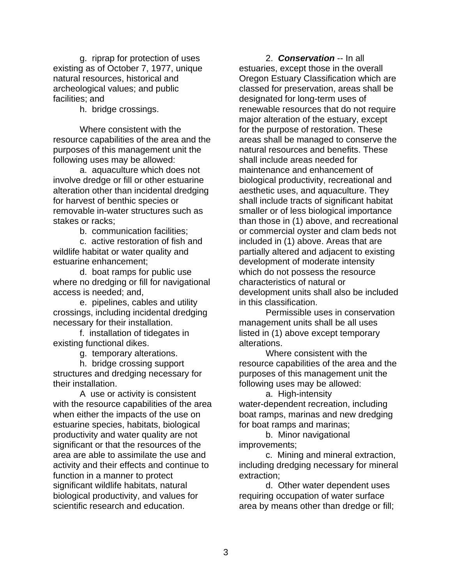g. riprap for protection of uses existing as of October 7, 1977, unique natural resources, historical and archeological values; and public facilities; and

h. bridge crossings.

Where consistent with the resource capabilities of the area and the purposes of this management unit the following uses may be allowed:

a. aquaculture which does not involve dredge or fill or other estuarine alteration other than incidental dredging for harvest of benthic species or removable in-water structures such as stakes or racks;

b. communication facilities;

c. active restoration of fish and wildlife habitat or water quality and estuarine enhancement;

d. boat ramps for public use where no dredging or fill for navigational access is needed; and,

e. pipelines, cables and utility crossings, including incidental dredging necessary for their installation.

f. installation of tidegates in existing functional dikes.

g. temporary alterations.

h. bridge crossing support structures and dredging necessary for their installation.

A use or activity is consistent with the resource capabilities of the area when either the impacts of the use on estuarine species, habitats, biological productivity and water quality are not significant or that the resources of the area are able to assimilate the use and activity and their effects and continue to function in a manner to protect significant wildlife habitats, natural biological productivity, and values for scientific research and education.

2. *Conservation* -- In all estuaries, except those in the overall Oregon Estuary Classification which are classed for preservation, areas shall be designated for long-term uses of renewable resources that do not require major alteration of the estuary, except for the purpose of restoration. These areas shall be managed to conserve the natural resources and benefits. These shall include areas needed for maintenance and enhancement of biological productivity, recreational and aesthetic uses, and aquaculture. They shall include tracts of significant habitat smaller or of less biological importance than those in (1) above, and recreational or commercial oyster and clam beds not included in (1) above. Areas that are partially altered and adjacent to existing development of moderate intensity which do not possess the resource characteristics of natural or development units shall also be included in this classification.

Permissible uses in conservation management units shall be all uses listed in (1) above except temporary alterations.

Where consistent with the resource capabilities of the area and the purposes of this management unit the following uses may be allowed:

a. High-intensity water-dependent recreation, including boat ramps, marinas and new dredging for boat ramps and marinas;

b. Minor navigational improvements;

c. Mining and mineral extraction, including dredging necessary for mineral extraction;

d. Other water dependent uses requiring occupation of water surface area by means other than dredge or fill;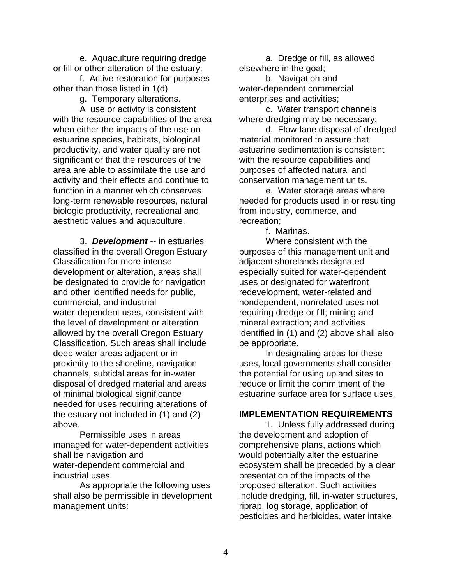e. Aquaculture requiring dredge or fill or other alteration of the estuary;

f. Active restoration for purposes other than those listed in 1(d).

g. Temporary alterations.

A use or activity is consistent with the resource capabilities of the area when either the impacts of the use on estuarine species, habitats, biological productivity, and water quality are not significant or that the resources of the area are able to assimilate the use and activity and their effects and continue to function in a manner which conserves long-term renewable resources, natural biologic productivity, recreational and aesthetic values and aquaculture.

3. *Development* -- in estuaries classified in the overall Oregon Estuary Classification for more intense development or alteration, areas shall be designated to provide for navigation and other identified needs for public, commercial, and industrial water-dependent uses, consistent with the level of development or alteration allowed by the overall Oregon Estuary Classification. Such areas shall include deep-water areas adjacent or in proximity to the shoreline, navigation channels, subtidal areas for in-water disposal of dredged material and areas of minimal biological significance needed for uses requiring alterations of the estuary not included in (1) and (2) above.

Permissible uses in areas managed for water-dependent activities shall be navigation and water-dependent commercial and industrial uses.

As appropriate the following uses shall also be permissible in development management units:

a. Dredge or fill, as allowed elsewhere in the goal;

b. Navigation and water-dependent commercial enterprises and activities;

c. Water transport channels where dredging may be necessary;

d. Flow-lane disposal of dredged material monitored to assure that estuarine sedimentation is consistent with the resource capabilities and purposes of affected natural and conservation management units.

e. Water storage areas where needed for products used in or resulting from industry, commerce, and recreation;

f. Marinas.

Where consistent with the purposes of this management unit and adjacent shorelands designated especially suited for water-dependent uses or designated for waterfront redevelopment, water-related and nondependent, nonrelated uses not requiring dredge or fill; mining and mineral extraction; and activities identified in (1) and (2) above shall also be appropriate.

In designating areas for these uses, local governments shall consider the potential for using upland sites to reduce or limit the commitment of the estuarine surface area for surface uses.

## **IMPLEMENTATION REQUIREMENTS**

1. Unless fully addressed during the development and adoption of comprehensive plans, actions which would potentially alter the estuarine ecosystem shall be preceded by a clear presentation of the impacts of the proposed alteration. Such activities include dredging, fill, in-water structures, riprap, log storage, application of pesticides and herbicides, water intake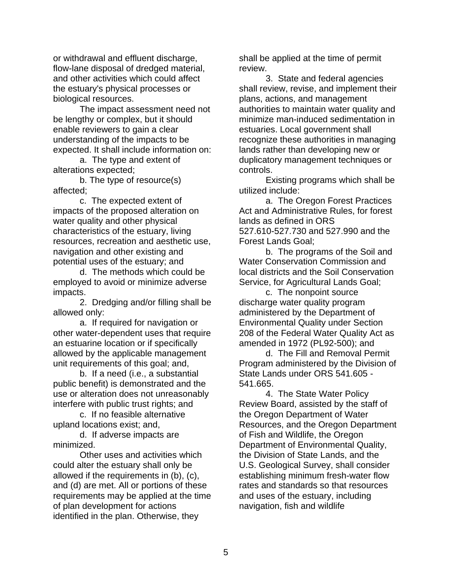or withdrawal and effluent discharge, flow-lane disposal of dredged material, and other activities which could affect the estuary's physical processes or biological resources.

The impact assessment need not be lengthy or complex, but it should enable reviewers to gain a clear understanding of the impacts to be expected. It shall include information on:

a. The type and extent of alterations expected;

b. The type of resource(s) affected;

c. The expected extent of impacts of the proposed alteration on water quality and other physical characteristics of the estuary, living resources, recreation and aesthetic use, navigation and other existing and potential uses of the estuary; and

d. The methods which could be employed to avoid or minimize adverse impacts.

2. Dredging and/or filling shall be allowed only:

a. If required for navigation or other water-dependent uses that require an estuarine location or if specifically allowed by the applicable management unit requirements of this goal; and,

b. If a need (i.e., a substantial public benefit) is demonstrated and the use or alteration does not unreasonably interfere with public trust rights; and

c. If no feasible alternative upland locations exist; and,

d. If adverse impacts are minimized.

Other uses and activities which could alter the estuary shall only be allowed if the requirements in (b), (c), and (d) are met. All or portions of these requirements may be applied at the time of plan development for actions identified in the plan. Otherwise, they

shall be applied at the time of permit review.

3. State and federal agencies shall review, revise, and implement their plans, actions, and management authorities to maintain water quality and minimize man-induced sedimentation in estuaries. Local government shall recognize these authorities in managing lands rather than developing new or duplicatory management techniques or controls.

Existing programs which shall be utilized include:

a. The Oregon Forest Practices Act and Administrative Rules, for forest lands as defined in ORS 527.610-527.730 and 527.990 and the Forest Lands Goal;

b. The programs of the Soil and Water Conservation Commission and local districts and the Soil Conservation Service, for Agricultural Lands Goal;

c. The nonpoint source discharge water quality program administered by the Department of Environmental Quality under Section 208 of the Federal Water Quality Act as amended in 1972 (PL92-500); and

d. The Fill and Removal Permit Program administered by the Division of State Lands under ORS 541.605 - 541.665.

4. The State Water Policy Review Board, assisted by the staff of the Oregon Department of Water Resources, and the Oregon Department of Fish and Wildlife, the Oregon Department of Environmental Quality, the Division of State Lands, and the U.S. Geological Survey, shall consider establishing minimum fresh-water flow rates and standards so that resources and uses of the estuary, including navigation, fish and wildlife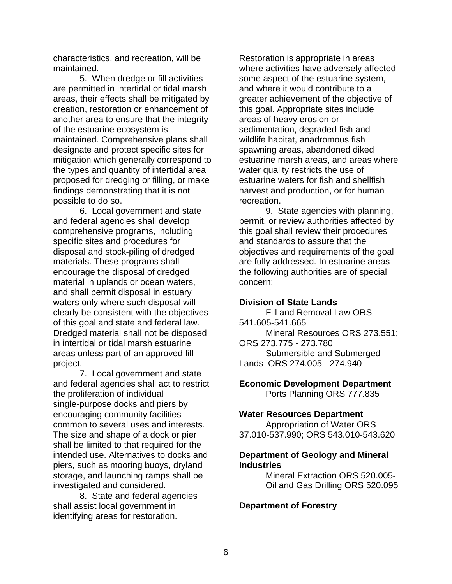characteristics, and recreation, will be maintained.

5. When dredge or fill activities are permitted in intertidal or tidal marsh areas, their effects shall be mitigated by creation, restoration or enhancement of another area to ensure that the integrity of the estuarine ecosystem is maintained. Comprehensive plans shall designate and protect specific sites for mitigation which generally correspond to the types and quantity of intertidal area proposed for dredging or filling, or make findings demonstrating that it is not possible to do so.

6. Local government and state and federal agencies shall develop comprehensive programs, including specific sites and procedures for disposal and stock-piling of dredged materials. These programs shall encourage the disposal of dredged material in uplands or ocean waters, and shall permit disposal in estuary waters only where such disposal will clearly be consistent with the objectives of this goal and state and federal law. Dredged material shall not be disposed in intertidal or tidal marsh estuarine areas unless part of an approved fill project.

7. Local government and state and federal agencies shall act to restrict the proliferation of individual single-purpose docks and piers by encouraging community facilities common to several uses and interests. The size and shape of a dock or pier shall be limited to that required for the intended use. Alternatives to docks and piers, such as mooring buoys, dryland storage, and launching ramps shall be investigated and considered.

8. State and federal agencies shall assist local government in identifying areas for restoration.

Restoration is appropriate in areas where activities have adversely affected some aspect of the estuarine system, and where it would contribute to a greater achievement of the objective of this goal. Appropriate sites include areas of heavy erosion or sedimentation, degraded fish and wildlife habitat, anadromous fish spawning areas, abandoned diked estuarine marsh areas, and areas where water quality restricts the use of estuarine waters for fish and shellfish harvest and production, or for human recreation.

9. State agencies with planning, permit, or review authorities affected by this goal shall review their procedures and standards to assure that the objectives and requirements of the goal are fully addressed. In estuarine areas the following authorities are of special concern:

#### **Division of State Lands**

Fill and Removal Law ORS 541.605-541.665 Mineral Resources ORS 273.551; ORS 273.775 - 273.780 Submersible and Submerged Lands ORS 274.005 - 274.940

**Economic Development Department** Ports Planning ORS 777.835

#### **Water Resources Department**

Appropriation of Water ORS 37.010-537.990; ORS 543.010-543.620

#### **Department of Geology and Mineral Industries**

Mineral Extraction ORS 520.005- Oil and Gas Drilling ORS 520.095

## **Department of Forestry**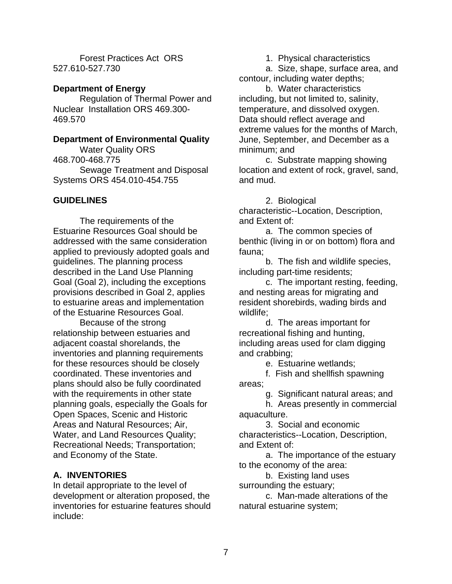Forest Practices Act ORS 527.610-527.730

# **Department of Energy**

Regulation of Thermal Power and Nuclear Installation ORS 469.300- 469.570

# **Department of Environmental Quality**

Water Quality ORS 468.700-468.775 Sewage Treatment and Disposal Systems ORS 454.010-454.755

# **GUIDELINES**

The requirements of the Estuarine Resources Goal should be addressed with the same consideration applied to previously adopted goals and guidelines. The planning process described in the Land Use Planning Goal (Goal 2), including the exceptions provisions described in Goal 2, applies to estuarine areas and implementation of the Estuarine Resources Goal.

Because of the strong relationship between estuaries and adjacent coastal shorelands, the inventories and planning requirements for these resources should be closely coordinated. These inventories and plans should also be fully coordinated with the requirements in other state planning goals, especially the Goals for Open Spaces, Scenic and Historic Areas and Natural Resources; Air, Water, and Land Resources Quality; Recreational Needs; Transportation; and Economy of the State.

# **A. INVENTORIES**

In detail appropriate to the level of development or alteration proposed, the inventories for estuarine features should include:

1. Physical characteristics

a. Size, shape, surface area, and contour, including water depths;

b. Water characteristics including, but not limited to, salinity, temperature, and dissolved oxygen. Data should reflect average and extreme values for the months of March, June, September, and December as a minimum; and

c. Substrate mapping showing location and extent of rock, gravel, sand, and mud.

2. Biological

characteristic--Location, Description, and Extent of:

a. The common species of benthic (living in or on bottom) flora and fauna;

b. The fish and wildlife species, including part-time residents;

c. The important resting, feeding, and nesting areas for migrating and resident shorebirds, wading birds and wildlife;

d. The areas important for recreational fishing and hunting, including areas used for clam digging and crabbing;

e. Estuarine wetlands;

f. Fish and shellfish spawning areas;

g. Significant natural areas; and

h. Areas presently in commercial aquaculture.

3. Social and economic

characteristics--Location, Description, and Extent of:

a. The importance of the estuary to the economy of the area:

b. Existing land uses

surrounding the estuary; c. Man-made alterations of the natural estuarine system;